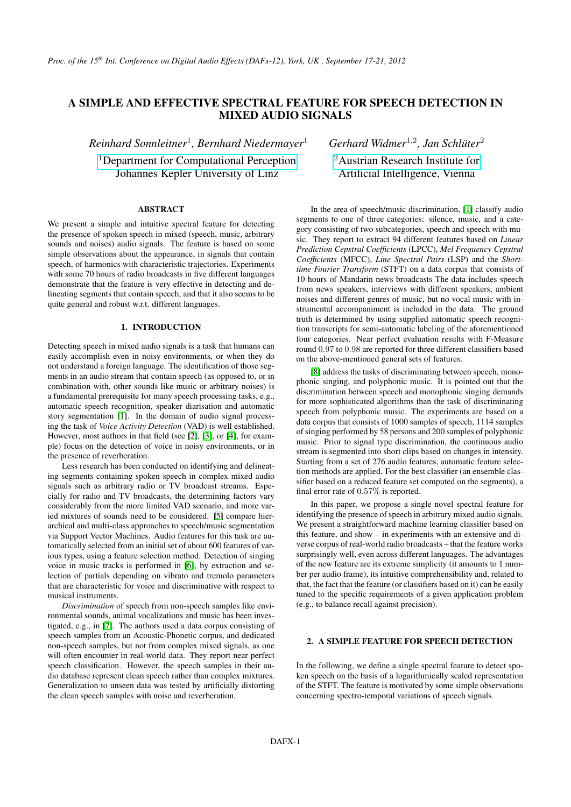## A SIMPLE AND EFFECTIVE SPECTRAL FEATURE FOR SPEECH DETECTION IN MIXED AUDIO SIGNALS

*Reinhard Sonnleitner*<sup>1</sup> *, Bernhard Niedermayer*<sup>1</sup>

<sup>1</sup>[Department for Computational Perception](http://www.cp.jku.at) Johannes Kepler University of Linz

## ABSTRACT

We present a simple and intuitive spectral feature for detecting the presence of spoken speech in mixed (speech, music, arbitrary sounds and noises) audio signals. The feature is based on some simple observations about the appearance, in signals that contain speech, of harmonics with characteristic trajectories. Experiments with some 70 hours of radio broadcasts in five different languages demonstrate that the feature is very effective in detecting and delineating segments that contain speech, and that it also seems to be quite general and robust w.r.t. different languages.

#### 1. INTRODUCTION

Detecting speech in mixed audio signals is a task that humans can easily accomplish even in noisy environments, or when they do not understand a foreign language. The identification of those segments in an audio stream that contain speech (as opposed to, or in combination with, other sounds like music or arbitrary noises) is a fundamental prerequisite for many speech processing tasks, e.g., automatic speech recognition, speaker diarisation and automatic story segmentation [\[1\]](#page-6-0). In the domain of audio signal processing the task of *Voice Activity Detection* (VAD) is well established. However, most authors in that field (see [\[2\]](#page-6-1), [\[3\]](#page-6-2), or [\[4\]](#page-6-3), for example) focus on the detection of voice in noisy environments, or in the presence of reverberation.

Less research has been conducted on identifying and delineating segments containing spoken speech in complex mixed audio signals such as arbitrary radio or TV broadcast streams. Especially for radio and TV broadcasts, the determining factors vary considerably from the more limited VAD scenario, and more varied mixtures of sounds need to be considered. [\[5\]](#page-6-4) compare hierarchical and multi-class approaches to speech/music segmentation via Support Vector Machines. Audio features for this task are automatically selected from an initial set of about 600 features of various types, using a feature selection method. Detection of singing voice in music tracks is performed in [\[6\]](#page-6-5), by extraction and selection of partials depending on vibrato and tremolo parameters that are characteristic for voice and discriminative with respect to musical instruments.

*Discrimination* of speech from non-speech samples like environmental sounds, animal vocalizations and music has been investigated, e.g., in [\[7\]](#page-6-6). The authors used a data corpus consisting of speech samples from an Acoustic-Phonetic corpus, and dedicated non-speech samples, but not from complex mixed signals, as one will often encounter in real-world data. They report near perfect speech classification. However, the speech samples in their audio database represent clean speech rather than complex mixtures. Generalization to unseen data was tested by artificially distorting the clean speech samples with noise and reverberation.

*Gerhard Widmer*<sup>1</sup>,<sup>2</sup> *, Jan Schlüter*<sup>2</sup>

<sup>2</sup>[Austrian Research Institute for](http://www.ofai.at) Artificial Intelligence, Vienna

In the area of speech/music discrimination, [\[1\]](#page-6-0) classify audio segments to one of three categories: silence, music, and a category consisting of two subcategories, speech and speech with music. They report to extract 94 different features based on *Linear Prediction Cepstral Coefficients* (LPCC), *Mel Frequency Cepstral Coefficients* (MFCC), *Line Spectral Pairs* (LSP) and the *Shorttime Fourier Transform* (STFT) on a data corpus that consists of 10 hours of Mandarin news broadcasts The data includes speech from news speakers, interviews with different speakers, ambient noises and different genres of music, but no vocal music with instrumental accompaniment is included in the data. The ground truth is determined by using supplied automatic speech recognition transcripts for semi-automatic labeling of the aforementioned four categories. Near perfect evaluation results with F-Measure round 0.97 to 0.98 are reported for three different classifiers based on the above-mentioned general sets of features.

[\[8\]](#page-6-7) address the tasks of discriminating between speech, monophonic singing, and polyphonic music. It is pointed out that the discrimination between speech and monophonic singing demands for more sophisticated algorithms than the task of discriminating speech from polyphonic music. The experiments are based on a data corpus that consists of 1000 samples of speech, 1114 samples of singing performed by 58 persons and 200 samples of polyphonic music. Prior to signal type discrimination, the continuous audio stream is segmented into short clips based on changes in intensity. Starting from a set of 276 audio features, automatic feature selection methods are applied. For the best classifier (an ensemble classifier based on a reduced feature set computed on the segments), a final error rate of 0.57% is reported.

In this paper, we propose a single novel spectral feature for identifying the presence of speech in arbitrary mixed audio signals. We present a straightforward machine learning classifier based on this feature, and show – in experiments with an extensive and diverse corpus of real-world radio broadcasts – that the feature works surprisingly well, even across different languages. The advantages of the new feature are its extreme simplicity (it amounts to 1 number per audio frame), its intuitive comprehensibility and, related to that, the fact that the feature (or classifiers based on it) can be easily tuned to the specific requirements of a given application problem (e.g., to balance recall against precision).

#### 2. A SIMPLE FEATURE FOR SPEECH DETECTION

In the following, we define a single spectral feature to detect spoken speech on the basis of a logarithmically scaled representation of the STFT. The feature is motivated by some simple observations concerning spectro-temporal variations of speech signals.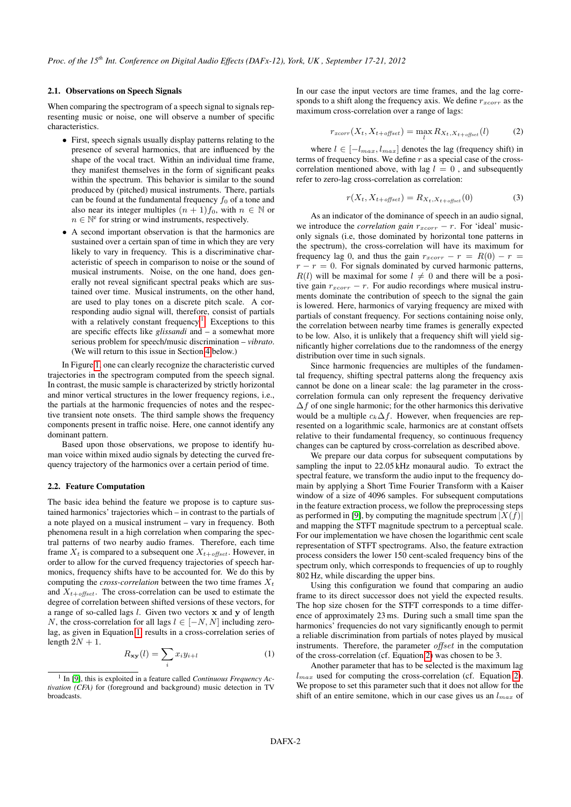### <span id="page-1-3"></span>2.1. Observations on Speech Signals

When comparing the spectrogram of a speech signal to signals representing music or noise, one will observe a number of specific characteristics.

- First, speech signals usually display patterns relating to the presence of several harmonics, that are influenced by the shape of the vocal tract. Within an individual time frame, they manifest themselves in the form of significant peaks within the spectrum. This behavior is similar to the sound produced by (pitched) musical instruments. There, partials can be found at the fundamental frequency  $f_0$  of a tone and also near its integer multiples  $(n + 1) f_0$ , with  $n \in \mathbb{N}$  or  $n \in \mathbb{N}^e$  for string or wind instruments, respectively.
- A second important observation is that the harmonics are sustained over a certain span of time in which they are very likely to vary in frequency. This is a discriminative characteristic of speech in comparison to noise or the sound of musical instruments. Noise, on the one hand, does generally not reveal significant spectral peaks which are sustained over time. Musical instruments, on the other hand, are used to play tones on a discrete pitch scale. A corresponding audio signal will, therefore, consist of partials with a relatively constant frequency.<sup>[1](#page-1-0)</sup> Exceptions to this are specific effects like *glissandi* and – a somewhat more serious problem for speech/music discrimination – *vibrato*. (We will return to this issue in Section [4](#page-4-0) below.)

In Figure [1,](#page-2-0) one can clearly recognize the characteristic curved trajectories in the spectrogram computed from the speech signal. In contrast, the music sample is characterized by strictly horizontal and minor vertical structures in the lower frequency regions, i.e., the partials at the harmonic frequencies of notes and the respective transient note onsets. The third sample shows the frequency components present in traffic noise. Here, one cannot identify any dominant pattern.

Based upon those observations, we propose to identify human voice within mixed audio signals by detecting the curved frequency trajectory of the harmonics over a certain period of time.

## 2.2. Feature Computation

The basic idea behind the feature we propose is to capture sustained harmonics' trajectories which – in contrast to the partials of a note played on a musical instrument – vary in frequency. Both phenomena result in a high correlation when comparing the spectral patterns of two nearby audio frames. Therefore, each time frame  $X_t$  is compared to a subsequent one  $X_{t+offset}$ . However, in order to allow for the curved frequency trajectories of speech harmonics, frequency shifts have to be accounted for. We do this by computing the *cross-correlation* between the two time frames  $X_t$ and  $X_{t+offset}$ . The cross-correlation can be used to estimate the degree of correlation between shifted versions of these vectors, for a range of so-called lags l. Given two vectors x and y of length N, the cross-correlation for all lags  $l \in [-N, N]$  including zerolag, as given in Equation [1,](#page-1-1) results in a cross-correlation series of length  $2N + 1$ .

<span id="page-1-1"></span>
$$
R_{\mathbf{xy}}(l) = \sum_{i} x_i y_{i+l} \tag{1}
$$

In our case the input vectors are time frames, and the lag corresponds to a shift along the frequency axis. We define  $r_{xcorr}$  as the maximum cross-correlation over a range of lags:

<span id="page-1-2"></span>
$$
r_{xcorr}(X_t, X_{t+offset}) = \max_{l} R_{X_t, X_{t+offset}}(l) \tag{2}
$$

where  $l \in [-l_{max}, l_{max}]$  denotes the lag (frequency shift) in terms of frequency bins. We define  $r$  as a special case of the crosscorrelation mentioned above, with lag  $l = 0$ , and subsequently refer to zero-lag cross-correlation as correlation:

$$
r(X_t, X_{t+offset}) = R_{X_t, X_{t+offset}}(0)
$$
\n(3)

As an indicator of the dominance of speech in an audio signal, we introduce the *correlation gain*  $r_{xcorr} - r$ . For 'ideal' musiconly signals (i.e, those dominated by horizontal tone patterns in the spectrum), the cross-correlation will have its maximum for frequency lag 0, and thus the gain  $r_{xcorr} - r = R(0) - r$  $r - r = 0$ . For signals dominated by curved harmonic patterns,  $R(l)$  will be maximal for some  $l \neq 0$  and there will be a positive gain  $r_{xcorr} - r$ . For audio recordings where musical instruments dominate the contribution of speech to the signal the gain is lowered. Here, harmonics of varying frequency are mixed with partials of constant frequency. For sections containing noise only, the correlation between nearby time frames is generally expected to be low. Also, it is unlikely that a frequency shift will yield significantly higher correlations due to the randomness of the energy distribution over time in such signals.

Since harmonic frequencies are multiples of the fundamental frequency, shifting spectral patterns along the frequency axis cannot be done on a linear scale: the lag parameter in the crosscorrelation formula can only represent the frequency derivative  $\Delta f$  of one single harmonic; for the other harmonics this derivative would be a multiple  $c_k\Delta f$ . However, when frequencies are represented on a logarithmic scale, harmonics are at constant offsets relative to their fundamental frequency, so continuous frequency changes can be captured by cross-correlation as described above.

We prepare our data corpus for subsequent computations by sampling the input to 22.05 kHz monaural audio. To extract the spectral feature, we transform the audio input to the frequency domain by applying a Short Time Fourier Transform with a Kaiser window of a size of 4096 samples. For subsequent computations in the feature extraction process, we follow the preprocessing steps as performed in [\[9\]](#page-6-8), by computing the magnitude spectrum  $|X(f)|$ and mapping the STFT magnitude spectrum to a perceptual scale. For our implementation we have chosen the logarithmic cent scale representation of STFT spectrograms. Also, the feature extraction process considers the lower 150 cent-scaled frequency bins of the spectrum only, which corresponds to frequencies of up to roughly 802 Hz, while discarding the upper bins.

Using this configuration we found that comparing an audio frame to its direct successor does not yield the expected results. The hop size chosen for the STFT corresponds to a time difference of approximately 23 ms. During such a small time span the harmonics' frequencies do not vary significantly enough to permit a reliable discrimination from partials of notes played by musical instruments. Therefore, the parameter *offset* in the computation of the cross-correlation (cf. Equation [2\)](#page-1-2) was chosen to be 3.

Another parameter that has to be selected is the maximum lag  $l_{max}$  used for computing the cross-correlation (cf. Equation [2\)](#page-1-2). We propose to set this parameter such that it does not allow for the shift of an entire semitone, which in our case gives us an  $l_{max}$  of

<span id="page-1-0"></span><sup>&</sup>lt;sup>1</sup> In [\[9\]](#page-6-8), this is exploited in a feature called *Continuous Frequency Activation (CFA)* for (foreground and background) music detection in TV broadcasts.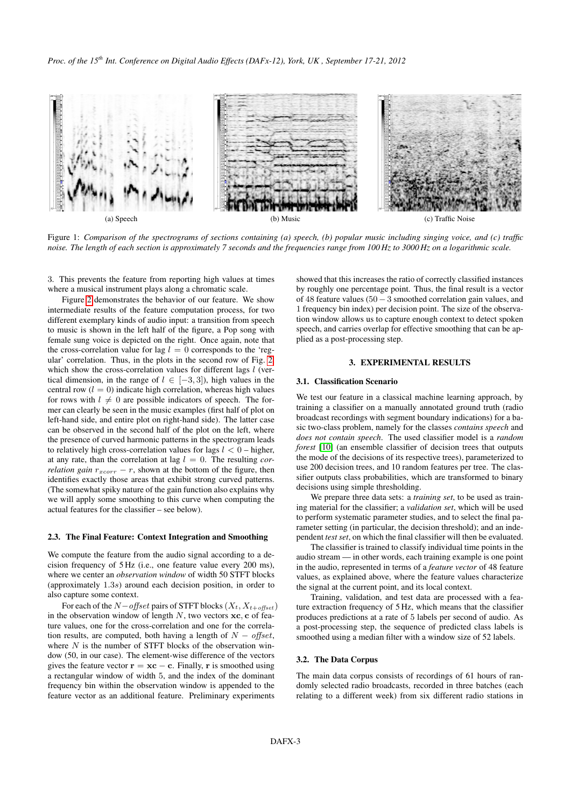

<span id="page-2-0"></span>Figure 1: *Comparison of the spectrograms of sections containing (a) speech, (b) popular music including singing voice, and (c) traffic noise. The length of each section is approximately 7 seconds and the frequencies range from 100 Hz to 3000 Hz on a logarithmic scale.*

3. This prevents the feature from reporting high values at times where a musical instrument plays along a chromatic scale.

Figure [2](#page-3-0) demonstrates the behavior of our feature. We show intermediate results of the feature computation process, for two different exemplary kinds of audio input: a transition from speech to music is shown in the left half of the figure, a Pop song with female sung voice is depicted on the right. Once again, note that the cross-correlation value for lag  $l = 0$  corresponds to the 'regular' correlation. Thus, in the plots in the second row of Fig. [2,](#page-3-0) which show the cross-correlation values for different lags  $l$  (vertical dimension, in the range of  $l \in [-3, 3]$ ), high values in the central row  $(l = 0)$  indicate high correlation, whereas high values for rows with  $l \neq 0$  are possible indicators of speech. The former can clearly be seen in the music examples (first half of plot on left-hand side, and entire plot on right-hand side). The latter case can be observed in the second half of the plot on the left, where the presence of curved harmonic patterns in the spectrogram leads to relatively high cross-correlation values for lags  $l < 0$  – higher, at any rate, than the correlation at lag  $l = 0$ . The resulting *correlation gain*  $r_{xcorr} - r$ , shown at the bottom of the figure, then identifies exactly those areas that exhibit strong curved patterns. (The somewhat spiky nature of the gain function also explains why we will apply some smoothing to this curve when computing the actual features for the classifier – see below).

#### <span id="page-2-1"></span>2.3. The Final Feature: Context Integration and Smoothing

We compute the feature from the audio signal according to a decision frequency of 5 Hz (i.e., one feature value every 200 ms), where we center an *observation window* of width 50 STFT blocks (approximately 1.3s) around each decision position, in order to also capture some context.

For each of the  $N$ −offset pairs of STFT blocks ( $X_t$ ,  $X_{t+offset}$ ) in the observation window of length  $N$ , two vectors  $xc$ , c of feature values, one for the cross-correlation and one for the correlation results, are computed, both having a length of  $N -$  offset, where  $N$  is the number of STFT blocks of the observation window (50, in our case). The element-wise difference of the vectors gives the feature vector  $\mathbf{r} = \mathbf{xc} - \mathbf{c}$ . Finally, r is smoothed using a rectangular window of width 5, and the index of the dominant frequency bin within the observation window is appended to the feature vector as an additional feature. Preliminary experiments

showed that this increases the ratio of correctly classified instances by roughly one percentage point. Thus, the final result is a vector of 48 feature values (50−3 smoothed correlation gain values, and 1 frequency bin index) per decision point. The size of the observation window allows us to capture enough context to detect spoken speech, and carries overlap for effective smoothing that can be applied as a post-processing step.

#### 3. EXPERIMENTAL RESULTS

#### 3.1. Classification Scenario

We test our feature in a classical machine learning approach, by training a classifier on a manually annotated ground truth (radio broadcast recordings with segment boundary indications) for a basic two-class problem, namely for the classes *contains speech* and *does not contain speech*. The used classifier model is a *random forest* [\[10\]](#page-6-9) (an ensemble classifier of decision trees that outputs the mode of the decisions of its respective trees), parameterized to use 200 decision trees, and 10 random features per tree. The classifier outputs class probabilities, which are transformed to binary decisions using simple thresholding.

We prepare three data sets: a *training set*, to be used as training material for the classifier; a *validation set*, which will be used to perform systematic parameter studies, and to select the final parameter setting (in particular, the decision threshold); and an independent *test set*, on which the final classifier will then be evaluated.

The classifier is trained to classify individual time points in the audio stream — in other words, each training example is one point in the audio, represented in terms of a *feature vector* of 48 feature values, as explained above, where the feature values characterize the signal at the current point, and its local context.

Training, validation, and test data are processed with a feature extraction frequency of 5 Hz, which means that the classifier produces predictions at a rate of 5 labels per second of audio. As a post-processing step, the sequence of predicted class labels is smoothed using a median filter with a window size of 52 labels.

#### 3.2. The Data Corpus

The main data corpus consists of recordings of 61 hours of randomly selected radio broadcasts, recorded in three batches (each relating to a different week) from six different radio stations in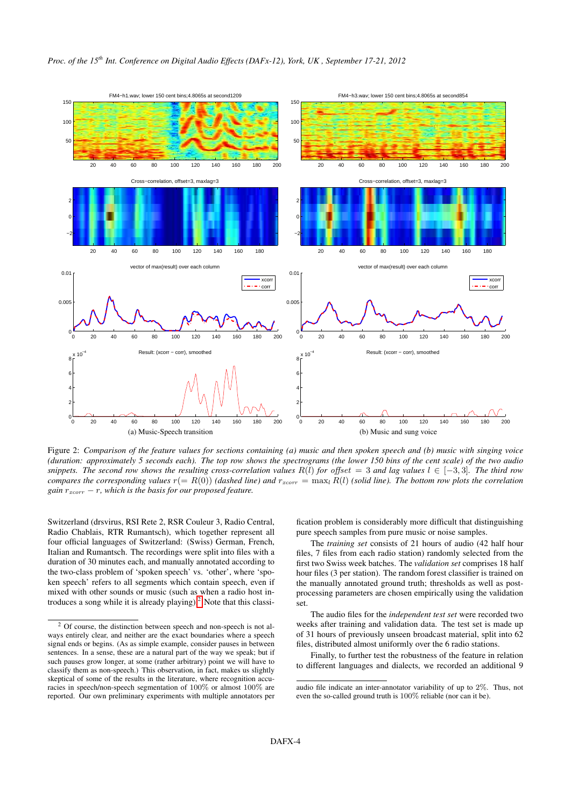

<span id="page-3-0"></span>Figure 2: *Comparison of the feature values for sections containing (a) music and then spoken speech and (b) music with singing voice (duration: approximately 5 seconds each). The top row shows the spectrograms (the lower 150 bins of the cent scale) of the two audio snippets. The second row shows the resulting cross-correlation values*  $R(l)$  *for* offset = 3 *and lag values*  $l \in [-3,3]$ *. The third row compares the corresponding values*  $r(= R(0))$  *(dashed line) and*  $r_{xcorr} = \max_l R(l)$  *(solid line). The bottom row plots the correlation gain*  $r_{xcorr} - r$ *, which is the basis for our proposed feature.* 

Switzerland (drsvirus, RSI Rete 2, RSR Couleur 3, Radio Central, Radio Chablais, RTR Rumantsch), which together represent all four official languages of Switzerland: (Swiss) German, French, Italian and Rumantsch. The recordings were split into files with a duration of 30 minutes each, and manually annotated according to the two-class problem of 'spoken speech' vs. 'other', where 'spoken speech' refers to all segments which contain speech, even if mixed with other sounds or music (such as when a radio host introduces a song while it is already playing). $<sup>2</sup>$  $<sup>2</sup>$  $<sup>2</sup>$  Note that this classi-</sup>

fication problem is considerably more difficult that distinguishing pure speech samples from pure music or noise samples.

The *training set* consists of 21 hours of audio (42 half hour files, 7 files from each radio station) randomly selected from the first two Swiss week batches. The *validation set* comprises 18 half hour files (3 per station). The random forest classifier is trained on the manually annotated ground truth; thresholds as well as postprocessing parameters are chosen empirically using the validation set.

The audio files for the *independent test set* were recorded two weeks after training and validation data. The test set is made up of 31 hours of previously unseen broadcast material, split into 62 files, distributed almost uniformly over the 6 radio stations.

Finally, to further test the robustness of the feature in relation to different languages and dialects, we recorded an additional 9

<span id="page-3-1"></span><sup>&</sup>lt;sup>2</sup> Of course, the distinction between speech and non-speech is not always entirely clear, and neither are the exact boundaries where a speech signal ends or begins. (As as simple example, consider pauses in between sentences. In a sense, these are a natural part of the way we speak; but if such pauses grow longer, at some (rather arbitrary) point we will have to classify them as non-speech.) This observation, in fact, makes us slightly skeptical of some of the results in the literature, where recognition accuracies in speech/non-speech segmentation of 100% or almost 100% are reported. Our own preliminary experiments with multiple annotators per

audio file indicate an inter-annotator variability of up to 2%. Thus, not even the so-called ground truth is 100% reliable (nor can it be).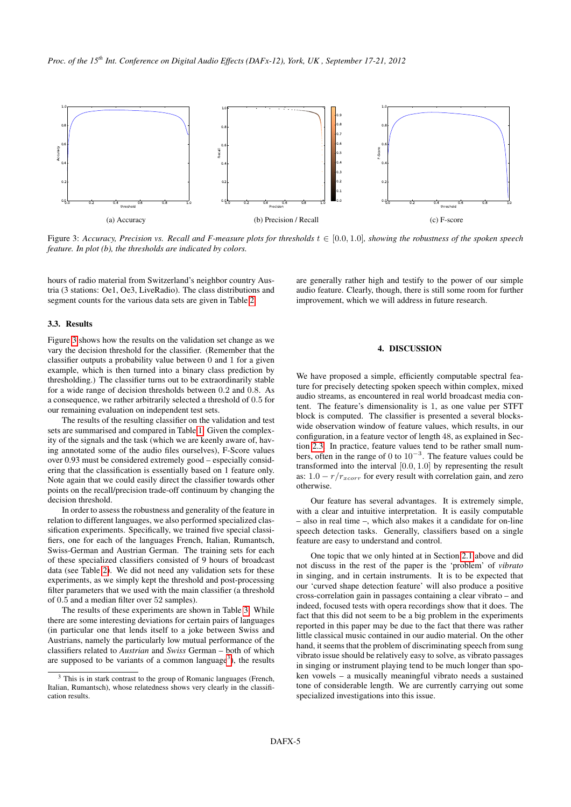

<span id="page-4-1"></span>Figure 3: *Accuracy, Precision vs. Recall and F-measure plots for thresholds* t ∈ [0.0, 1.0]*, showing the robustness of the spoken speech feature. In plot (b), the thresholds are indicated by colors.*

hours of radio material from Switzerland's neighbor country Austria (3 stations: Oe1, Oe3, LiveRadio). The class distributions and segment counts for the various data sets are given in Table [2.](#page-5-0)

are generally rather high and testify to the power of our simple audio feature. Clearly, though, there is still some room for further improvement, which we will address in future research.

#### 3.3. Results

Figure [3](#page-4-1) shows how the results on the validation set change as we vary the decision threshold for the classifier. (Remember that the classifier outputs a probability value between 0 and 1 for a given example, which is then turned into a binary class prediction by thresholding.) The classifier turns out to be extraordinarily stable for a wide range of decision thresholds between 0.2 and 0.8. As a consequence, we rather arbitrarily selected a threshold of 0.5 for our remaining evaluation on independent test sets.

The results of the resulting classifier on the validation and test sets are summarised and compared in Table [1.](#page-5-1) Given the complexity of the signals and the task (which we are keenly aware of, having annotated some of the audio files ourselves), F-Score values over 0.93 must be considered extremely good – especially considering that the classification is essentially based on 1 feature only. Note again that we could easily direct the classifier towards other points on the recall/precision trade-off continuum by changing the decision threshold.

In order to assess the robustness and generality of the feature in relation to different languages, we also performed specialized classification experiments. Specifically, we trained five special classifiers, one for each of the languages French, Italian, Rumantsch, Swiss-German and Austrian German. The training sets for each of these specialized classifiers consisted of 9 hours of broadcast data (see Table [2\)](#page-5-0). We did not need any validation sets for these experiments, as we simply kept the threshold and post-processing filter parameters that we used with the main classifier (a threshold of 0.5 and a median filter over 52 samples).

The results of these experiments are shown in Table [3.](#page-5-2) While there are some interesting deviations for certain pairs of languages (in particular one that lends itself to a joke between Swiss and Austrians, namely the particularly low mutual performance of the classifiers related to *Austrian* and *Swiss* German – both of which are supposed to be variants of a common language<sup>[3](#page-4-2)</sup>), the results

## 4. DISCUSSION

<span id="page-4-0"></span>We have proposed a simple, efficiently computable spectral feature for precisely detecting spoken speech within complex, mixed audio streams, as encountered in real world broadcast media content. The feature's dimensionality is 1, as one value per STFT block is computed. The classifier is presented a several blockswide observation window of feature values, which results, in our configuration, in a feature vector of length 48, as explained in Section [2.3.](#page-2-1) In practice, feature values tend to be rather small numbers, often in the range of 0 to  $10^{-3}$ . The feature values could be transformed into the interval [0.0, 1.0] by representing the result as:  $1.0 - r/r_{xcorr}$  for every result with correlation gain, and zero otherwise.

Our feature has several advantages. It is extremely simple, with a clear and intuitive interpretation. It is easily computable – also in real time –, which also makes it a candidate for on-line speech detection tasks. Generally, classifiers based on a single feature are easy to understand and control.

One topic that we only hinted at in Section [2.1](#page-1-3) above and did not discuss in the rest of the paper is the 'problem' of *vibrato* in singing, and in certain instruments. It is to be expected that our 'curved shape detection feature' will also produce a positive cross-correlation gain in passages containing a clear vibrato – and indeed, focused tests with opera recordings show that it does. The fact that this did not seem to be a big problem in the experiments reported in this paper may be due to the fact that there was rather little classical music contained in our audio material. On the other hand, it seems that the problem of discriminating speech from sung vibrato issue should be relatively easy to solve, as vibrato passages in singing or instrument playing tend to be much longer than spoken vowels – a musically meaningful vibrato needs a sustained tone of considerable length. We are currently carrying out some specialized investigations into this issue.

<span id="page-4-2"></span><sup>&</sup>lt;sup>3</sup> This is in stark contrast to the group of Romanic languages (French, Italian, Rumantsch), whose relatedness shows very clearly in the classification results.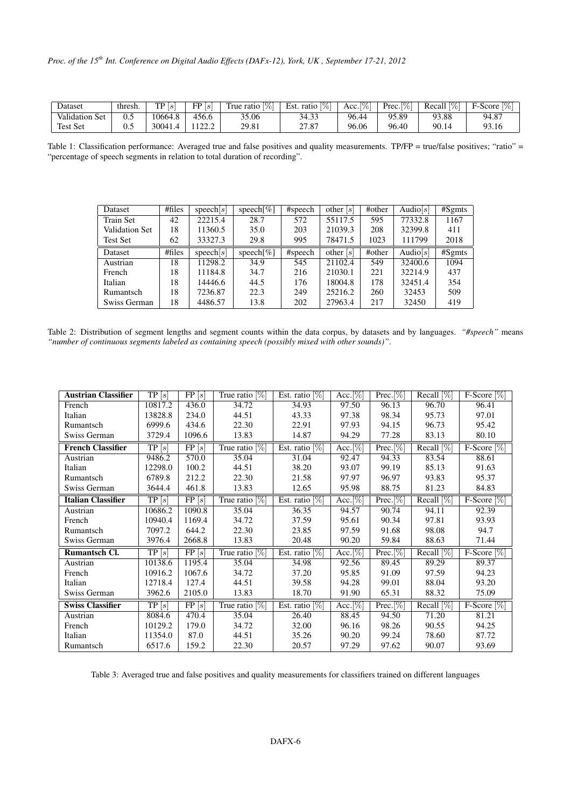| Dataset               | thresh. | $\mathrm{TP}\left[s\right]$ | FP[s]                                      | $\overline{1\%}$<br>True ratio, | $\lbrack\% \rbrack$<br>Est.<br>ratio | $\frac{1}{2}$<br>Acc. | $\frac{1}{2}$<br>$Prec_{\cdot \mid \cdot}$ | $\frac{1}{2}$<br>Recall | F-Score,<br>$\%$ |
|-----------------------|---------|-----------------------------|--------------------------------------------|---------------------------------|--------------------------------------|-----------------------|--------------------------------------------|-------------------------|------------------|
| <b>Validation Set</b> | 0.5     | 10664.8                     | 456.6                                      | 35.06                           | 34.33                                | 96.44                 | 2.89<br>05                                 | 93.88                   | 94.87            |
| <b>Test Set</b>       | U.J     | 30041.                      | $1 \overline{2} \overline{2} \overline{1}$ | 29.81                           | 27.87                                | 96.06                 | 96.40                                      | 90.14                   | 93.16            |

<span id="page-5-1"></span>Table 1: Classification performance: Averaged true and false positives and quality measurements. TP/FP = true/false positives; "ratio" = "percentage of speech segments in relation to total duration of recording".

| Dataset               | # files | speech[s]       | speech[ $\%$ ] | #speech | other $ s $ | #other | Audio[s]    | #Sgints |
|-----------------------|---------|-----------------|----------------|---------|-------------|--------|-------------|---------|
| <b>Train Set</b>      | 42      | 22215.4         | 28.7           | 572     | 55117.5     | 595    | 77332.8     | 1167    |
| <b>Validation Set</b> | 18      | 11360.5         | 35.0           | 203     | 21039.3     | 208    | 32399.8     | 411     |
| Test Set              | 62      | 33327.3         | 29.8           | 995     | 78471.5     | 1023   | 111799      | 2018    |
| Dataset               | # files | $\text{speeds}$ | speech $[\%]$  | #speech | other $[s]$ | #other | Audio $[s]$ | #Sg mts |
| Austrian              | 18      | 11298.2         | 34.9           | 545     | 21102.4     | 549    | 32400.6     | 1094    |
| French                | 18      | 11184.8         | 34.7           | 216     | 21030.1     | 221    | 32214.9     | 437     |
| Italian               | 18      | 14446.6         | 44.5           | 176     | 18004.8     | 178    | 32451.4     | 354     |
| Rumantsch             | 18      | 7236.87         | 22.3           | 249     | 25216.2     | 260    | 32453       | 509     |
| Swiss German          | 18      | 4486.57         | 13.8           | 202     | 27963.4     | 217    | 32450       | 419     |

<span id="page-5-0"></span>Table 2: Distribution of segment lengths and segment counts within the data corpus, by datasets and by languages. *"#speech"* means *"number of continuous segments labeled as containing speech (possibly mixed with other sounds)"*.

| <b>Austrian Classifier</b> | $\overline{\text{TP}}\left[s\right]$ | $\overline{\text{FP}\left[s\right]}$ | True ratio $[\%]$      | Est. ratio $[\%]$               | Acc. $[\%]$ | $Prec.[\%]$  | Recall $[\%]$ | $F-Score [\%]$              |
|----------------------------|--------------------------------------|--------------------------------------|------------------------|---------------------------------|-------------|--------------|---------------|-----------------------------|
| French                     | 10817.2                              | 436.0                                | 34.72                  | 34.93                           | 97.50       | 96.13        | 96.70         | 96.41                       |
| Italian                    | 13828.8                              | 234.0                                | 44.51                  | 43.33                           | 97.38       | 98.34        | 95.73         | 97.01                       |
| Rumantsch                  | 6999.6                               | 434.6                                | 22.30                  | 22.91                           | 97.93       | 94.15        | 96.73         | 95.42                       |
| Swiss German               | 3729.4                               | 1096.6                               | 13.83                  | 14.87                           | 94.29       | 77.28        | 83.13         | 80.10                       |
| <b>French Classifier</b>   | $\overline{\text{TP}\left[s\right]}$ | $\overline{\text{FP}\left[s\right]}$ | True ratio $[\%]$      | Est. ratio $[\%]$               | Acc. $[\%]$ | $Prec. [\%]$ | Recall $[\%]$ | $F-Score [\%]$              |
| Austrian                   | 9486.2                               | 570.0                                | 35.04                  | 31.04                           | 92.47       | 94.33        | 83.54         | 88.61                       |
| Italian                    | 12298.0                              | 100.2                                | 44.51                  | 38.20                           | 93.07       | 99.19        | 85.13         | 91.63                       |
| Rumantsch                  | 6789.8                               | 212.2                                | 22.30                  | 21.58                           | 97.97       | 96.97        | 93.83         | 95.37                       |
| Swiss German               | 3644.4                               | 461.8                                | 13.83                  | 12.65                           | 95.98       | 88.75        | 81.23         | 84.83                       |
| <b>Italian Classifier</b>  | $\overline{\text{TP}\left[s\right]}$ | FP[s]                                | True ratio $\sqrt{\%}$ | Est. ratio $\sqrt{\frac{1}{6}}$ | Acc. $[\%]$ | $Prec.[\%]$  | Recall $[\%]$ | F-Score $\lbrack\% \rbrack$ |
| Austrian                   | 10686.2                              | 1090.8                               | 35.04                  | 36.35                           | 94.57       | 90.74        | 94.11         | 92.39                       |
| French                     | 10940.4                              | 1169.4                               | 34.72                  | 37.59                           | 95.61       | 90.34        | 97.81         | 93.93                       |
| Rumantsch                  | 7097.2                               | 644.2                                | 22.30                  | 23.85                           | 97.59       | 91.68        | 98.08         | 94.7                        |
| Swiss German               | 3976.4                               | 2668.8                               | 13.83                  | 20.48                           | 90.20       | 59.84        | 88.63         | 71.44                       |
| Rumantsch Cl.              | TP[s]                                | FP[s]                                | True ratio $\sqrt{2}$  | Est. ratio $[\%]$               | Acc. $[\%]$ | $Prec. [\%]$ | Recall $[\%]$ | $F-Score [\%]$              |
| Austrian                   | 10138.6                              | 1195.4                               | 35.04                  | 34.98                           | 92.56       | 89.45        | 89.29         | 89.37                       |
| French                     | 10916.2                              | 1067.6                               | 34.72                  | 37.20                           | 95.85       | 91.09        | 97.59         | 94.23                       |
| Italian                    | 12718.4                              | 127.4                                | 44.51                  | 39.58                           | 94.28       | 99.01        | 88.04         | 93.20                       |
| Swiss German               | 3962.6                               | 2105.0                               | 13.83                  | 18.70                           | 91.90       | 65.31        | 88.32         | 75.09                       |
| <b>Swiss Classifier</b>    | TP[s]                                | FP[s]                                | True ratio [%]         | Est. ratio [%]                  | Acc. $[\%]$ | Prec. [%]    | Recall $[\%]$ | F-Score $[\%]$              |
| Austrian                   | 8084.6                               | 470.4                                | 35.04                  | 26.40                           | 88.45       | 94.50        | 71.20         | 81.21                       |
| French                     | 10129.2                              | 179.0                                | 34.72                  | 32.00                           | 96.16       | 98.26        | 90.55         | 94.25                       |
| Italian                    | 11354.0                              | 87.0                                 | 44.51                  | 35.26                           | 90.20       | 99.24        | 78.60         | 87.72                       |
| Rumantsch                  | 6517.6                               | 159.2                                | 22.30                  | 20.57                           | 97.29       | 97.62        | 90.07         | 93.69                       |

<span id="page-5-2"></span>Table 3: Averaged true and false positives and quality measurements for classifiers trained on different languages